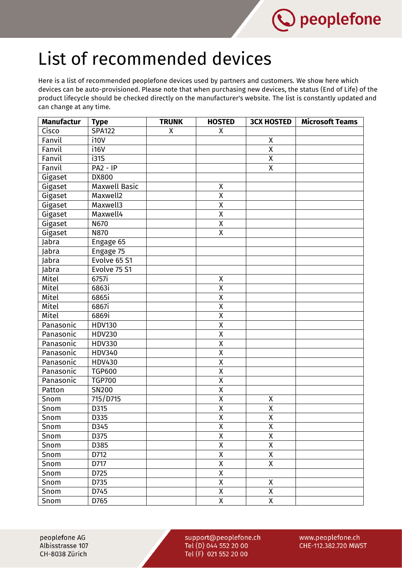

## List of recommended devices

Here is a list of recommended peoplefone devices used by partners and customers. We show here which devices can be auto-provisioned. Please note that when purchasing new devices, the status (End of Life) of the product lifecycle should be checked directly on the manufacturer's website. The list is constantly updated and can change at any time.

| <b>Manufactur</b> | <b>Type</b>          | <b>TRUNK</b> | <b>HOSTED</b>           | <b>3CX HOSTED</b>       | <b>Microsoft Teams</b> |
|-------------------|----------------------|--------------|-------------------------|-------------------------|------------------------|
| Cisco             | <b>SPA122</b>        | X            | X                       |                         |                        |
| Fanvil            | i10V                 |              |                         | X                       |                        |
| Fanvil            | i16V                 |              |                         | $\overline{\mathsf{x}}$ |                        |
| Fanvil            | i315                 |              |                         | $\overline{\mathsf{x}}$ |                        |
| Fanvil            | $PA2 - IP$           |              |                         | X                       |                        |
| Gigaset           | <b>DX800</b>         |              |                         |                         |                        |
| Gigaset           | <b>Maxwell Basic</b> |              | Χ                       |                         |                        |
| Gigaset           | Maxwell2             |              | Χ                       |                         |                        |
| Gigaset           | Maxwell3             |              | $\pmb{\mathsf{X}}$      |                         |                        |
| Gigaset           | Maxwell4             |              | $\overline{\mathsf{x}}$ |                         |                        |
| Gigaset           | N670                 |              | $\overline{X}$          |                         |                        |
| Gigaset           | N870                 |              | $\overline{X}$          |                         |                        |
| Jabra             | Engage 65            |              |                         |                         |                        |
| Jabra             | Engage 75            |              |                         |                         |                        |
| Jabra             | Evolve 65 S1         |              |                         |                         |                        |
| Jabra             | Evolve 75 S1         |              |                         |                         |                        |
| Mitel             | 6757i                |              | $\pmb{\mathsf{X}}$      |                         |                        |
| Mitel             | 6863i                |              | $\pmb{\mathsf{X}}$      |                         |                        |
| Mitel             | 6865i                |              | $\overline{\mathsf{x}}$ |                         |                        |
| Mitel             | 6867i                |              | $\overline{X}$          |                         |                        |
| Mitel             | 6869i                |              | $\overline{X}$          |                         |                        |
| Panasonic         | <b>HDV130</b>        |              | Χ                       |                         |                        |
| Panasonic         | <b>HDV230</b>        |              | $\pmb{\mathsf{X}}$      |                         |                        |
| Panasonic         | HDV330               |              | $\overline{\mathsf{x}}$ |                         |                        |
| Panasonic         | <b>HDV340</b>        |              | $\pmb{\mathsf{X}}$      |                         |                        |
| Panasonic         | HDV430               |              | $\overline{\mathsf{x}}$ |                         |                        |
| Panasonic         | <b>TGP600</b>        |              | $\pmb{\mathsf{X}}$      |                         |                        |
| Panasonic         | <b>TGP700</b>        |              | $\overline{X}$          |                         |                        |
| Patton            | SN200                |              | $\pmb{\mathsf{X}}$      |                         |                        |
| Snom              | 715/D715             |              | $\pmb{\mathsf{X}}$      | X                       |                        |
| Snom              | D315                 |              | $\overline{X}$          | $\overline{\mathsf{x}}$ |                        |
| Snom              | D335                 |              | $\overline{\mathsf{x}}$ | $\overline{\mathsf{x}}$ |                        |
| Snom              | D345                 |              | Χ                       | Χ                       |                        |
| Snom              | D375                 |              | $\pmb{\mathsf{X}}$      | Χ                       |                        |
| Snom              | D385                 |              | Χ                       | $\overline{X}$          |                        |
| Snom              | D712                 |              | Χ                       | Χ                       |                        |
| Snom              | D717                 |              | $\pmb{\mathsf{X}}$      | X                       |                        |
| Snom              | D725                 |              | $\overline{X}$          |                         |                        |
| Snom              | D735                 |              | $\overline{\mathsf{X}}$ | Χ                       |                        |
| Snom              | D745                 |              | Χ                       | Χ                       |                        |
| Snom              | D765                 |              | $\pmb{\mathsf{X}}$      | X                       |                        |

peoplefone AG Albisstrasse 107 CH-8038 Zürich

support@peoplefone.ch Tel (D) 044 552 20 00 Tel (F) 021 552 20 00

www.peoplefone.ch CHE-112.382.720 MWST